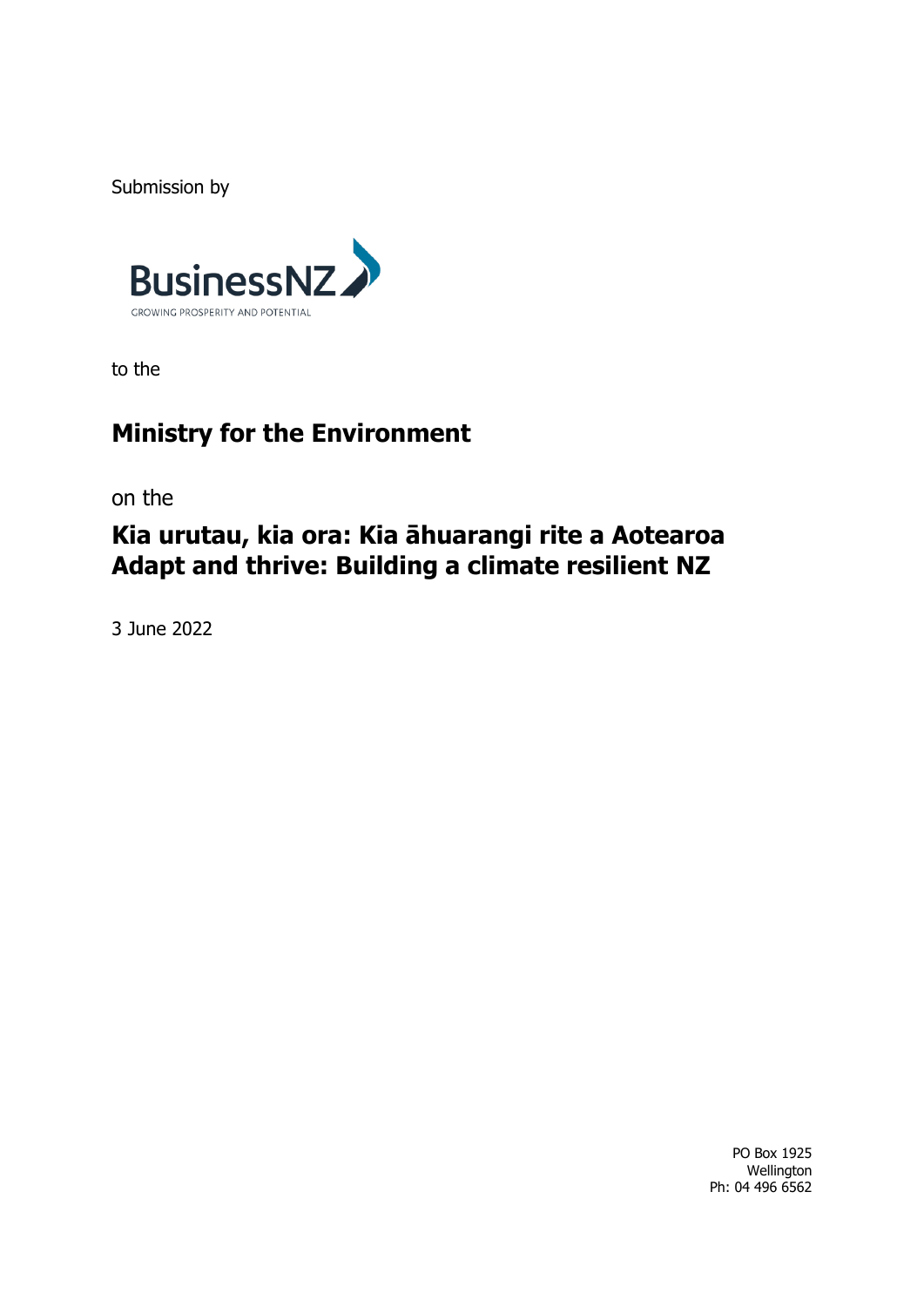Submission by



to the

# **Ministry for the Environment**

on the

# **Kia urutau, kia ora: Kia āhuarangi rite a Aotearoa Adapt and thrive: Building a climate resilient NZ**

3 June 2022

PO Box 1925 Wellington Ph: 04 496 6562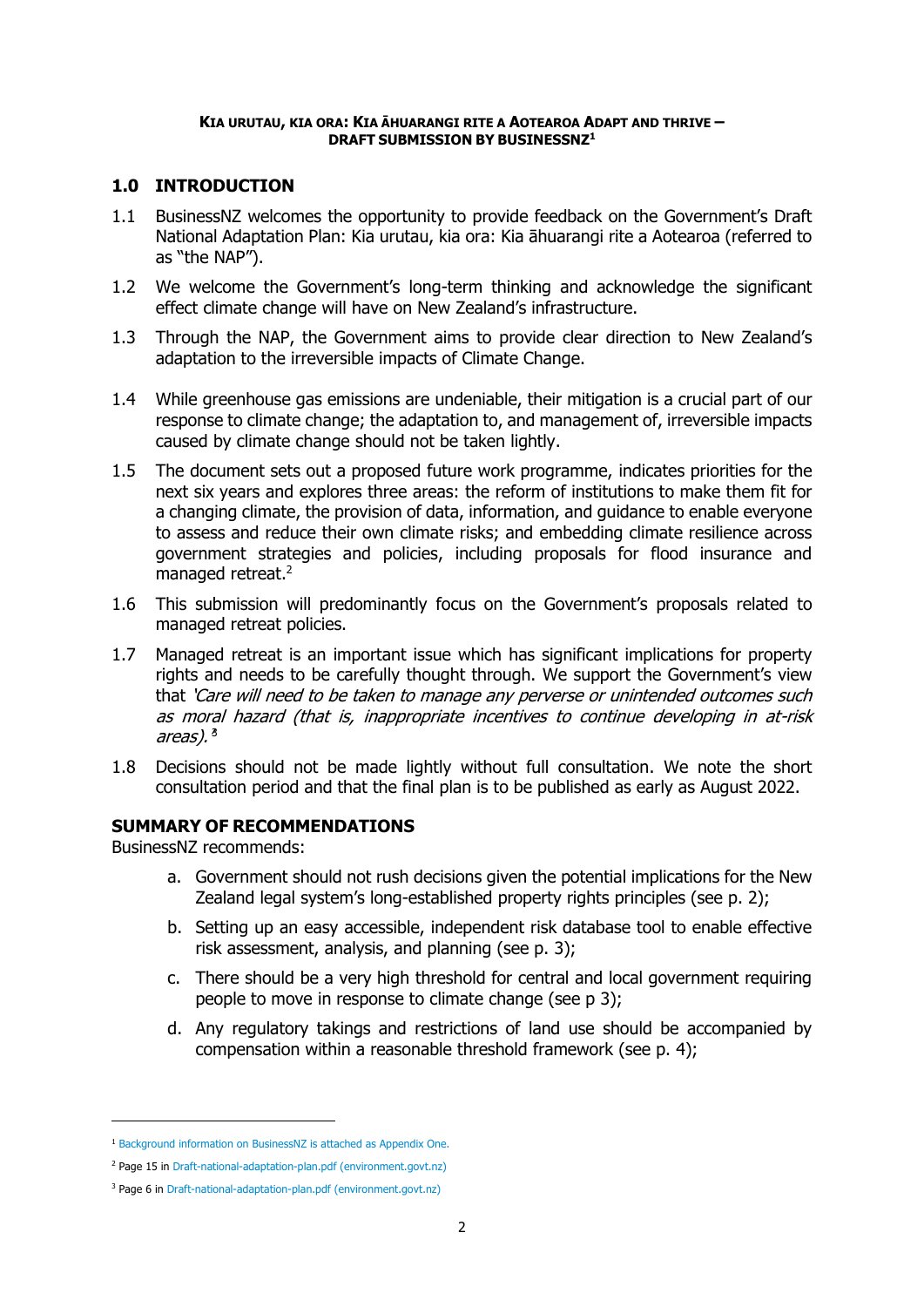#### **KIA URUTAU, KIA ORA: KIA ĀHUARANGI RITE A AOTEAROA ADAPT AND THRIVE – DRAFT SUBMISSION BY BUSINESSNZ<sup>1</sup>**

# **1.0 INTRODUCTION**

- 1.1 BusinessNZ welcomes the opportunity to provide feedback on the Government's Draft National Adaptation Plan: Kia urutau, kia ora: Kia āhuarangi rite a Aotearoa (referred to as "the NAP").
- 1.2 We welcome the Government's long-term thinking and acknowledge the significant effect climate change will have on New Zealand's infrastructure.
- 1.3 Through the NAP, the Government aims to provide clear direction to New Zealand's adaptation to the irreversible impacts of Climate Change.
- 1.4 While greenhouse gas emissions are undeniable, their mitigation is a crucial part of our response to climate change; the adaptation to, and management of, irreversible impacts caused by climate change should not be taken lightly.
- 1.5 The document sets out a proposed future work programme, indicates priorities for the next six years and explores three areas: the reform of institutions to make them fit for a changing climate, the provision of data, information, and guidance to enable everyone to assess and reduce their own climate risks; and embedding climate resilience across government strategies and policies, including proposals for flood insurance and managed retreat.<sup>2</sup>
- 1.6 This submission will predominantly focus on the Government's proposals related to managed retreat policies.
- 1.7 Managed retreat is an important issue which has significant implications for property rights and needs to be carefully thought through. We support the Government's view that 'Care will need to be taken to manage any perverse or unintended outcomes such as moral hazard (that is, inappropriate incentives to continue developing in at-risk areas). <sup>s</sup>
- 1.8 Decisions should not be made lightly without full consultation. We note the short consultation period and that the final plan is to be published as early as August 2022.

# **SUMMARY OF RECOMMENDATIONS**

BusinessNZ recommends:

- a. Government should not rush decisions given the potential implications for the New Zealand legal system's long-established property rights principles (see p. 2);
- b. Setting up an easy accessible, independent risk database tool to enable effective risk assessment, analysis, and planning (see p. 3);
- c. There should be a very high threshold for central and local government requiring people to move in response to climate change (see p 3);
- d. Any regulatory takings and restrictions of land use should be accompanied by compensation within a reasonable threshold framework (see p. 4);

<sup>1</sup> Background information on BusinessNZ is attached as Appendix One.

<sup>2</sup> Page 15 i[n Draft-national-adaptation-plan.pdf \(environment.govt.nz\)](https://environment.govt.nz/assets/publications/Draft-national-adaptation-plan.pdf)

<sup>&</sup>lt;sup>3</sup> Page 6 i[n Draft-national-adaptation-plan.pdf \(environment.govt.nz\)](https://environment.govt.nz/assets/publications/Draft-national-adaptation-plan.pdf)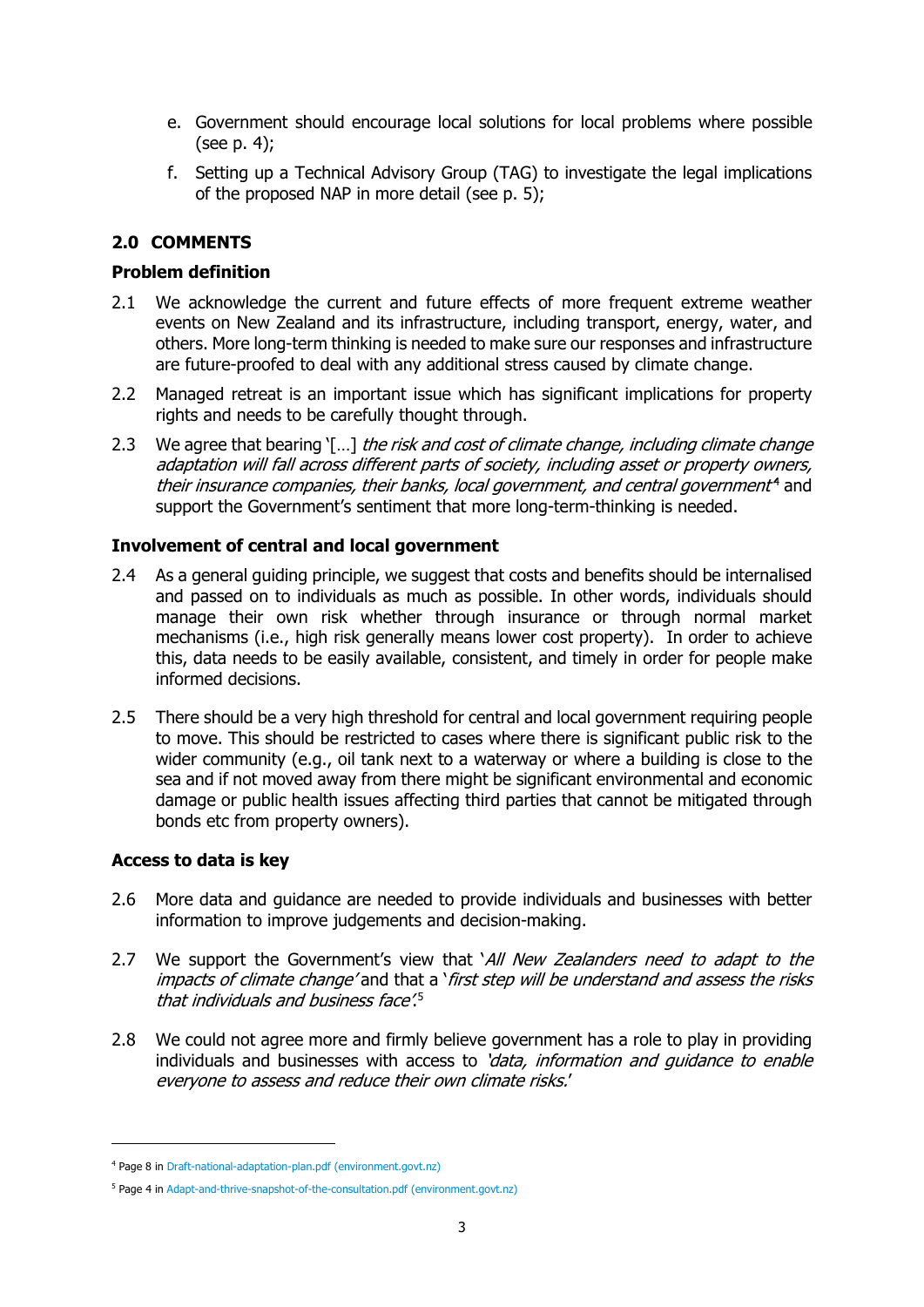- e. Government should encourage local solutions for local problems where possible (see p. 4);
- f. Setting up a Technical Advisory Group (TAG) to investigate the legal implications of the proposed NAP in more detail (see p. 5);

# **2.0 COMMENTS**

### **Problem definition**

- 2.1 We acknowledge the current and future effects of more frequent extreme weather events on New Zealand and its infrastructure, including transport, energy, water, and others. More long-term thinking is needed to make sure our responses and infrastructure are future-proofed to deal with any additional stress caused by climate change.
- 2.2 Managed retreat is an important issue which has significant implications for property rights and needs to be carefully thought through.
- 2.3 We agree that bearing '[...] the risk and cost of climate change, including climate change adaptation will fall across different parts of society, including asset or property owners, their insurance companies, their banks, local government, and central government<sup>4</sup> and support the Government's sentiment that more long-term-thinking is needed.

#### **Involvement of central and local government**

- 2.4 As a general guiding principle, we suggest that costs and benefits should be internalised and passed on to individuals as much as possible. In other words, individuals should manage their own risk whether through insurance or through normal market mechanisms (i.e., high risk generally means lower cost property). In order to achieve this, data needs to be easily available, consistent, and timely in order for people make informed decisions.
- 2.5 There should be a very high threshold for central and local government requiring people to move. This should be restricted to cases where there is significant public risk to the wider community (e.g., oil tank next to a waterway or where a building is close to the sea and if not moved away from there might be significant environmental and economic damage or public health issues affecting third parties that cannot be mitigated through bonds etc from property owners).

#### **Access to data is key**

- 2.6 More data and guidance are needed to provide individuals and businesses with better information to improve judgements and decision-making.
- 2.7 We support the Government's view that 'All New Zealanders need to adapt to the impacts of climate change' and that a 'first step will be understand and assess the risks that individuals and business face'. 5
- 2.8 We could not agree more and firmly believe government has a role to play in providing individuals and businesses with access to 'data, information and quidance to enable everyone to assess and reduce their own climate risks.'

<sup>4</sup> Page 8 i[n Draft-national-adaptation-plan.pdf \(environment.govt.nz\)](https://environment.govt.nz/assets/publications/Draft-national-adaptation-plan.pdf)

<sup>5</sup> Page 4 i[n Adapt-and-thrive-snapshot-of-the-consultation.pdf \(environment.govt.nz\)](https://environment.govt.nz/assets/publications/Adapt-and-thrive-snapshot-of-the-consultation.pdf)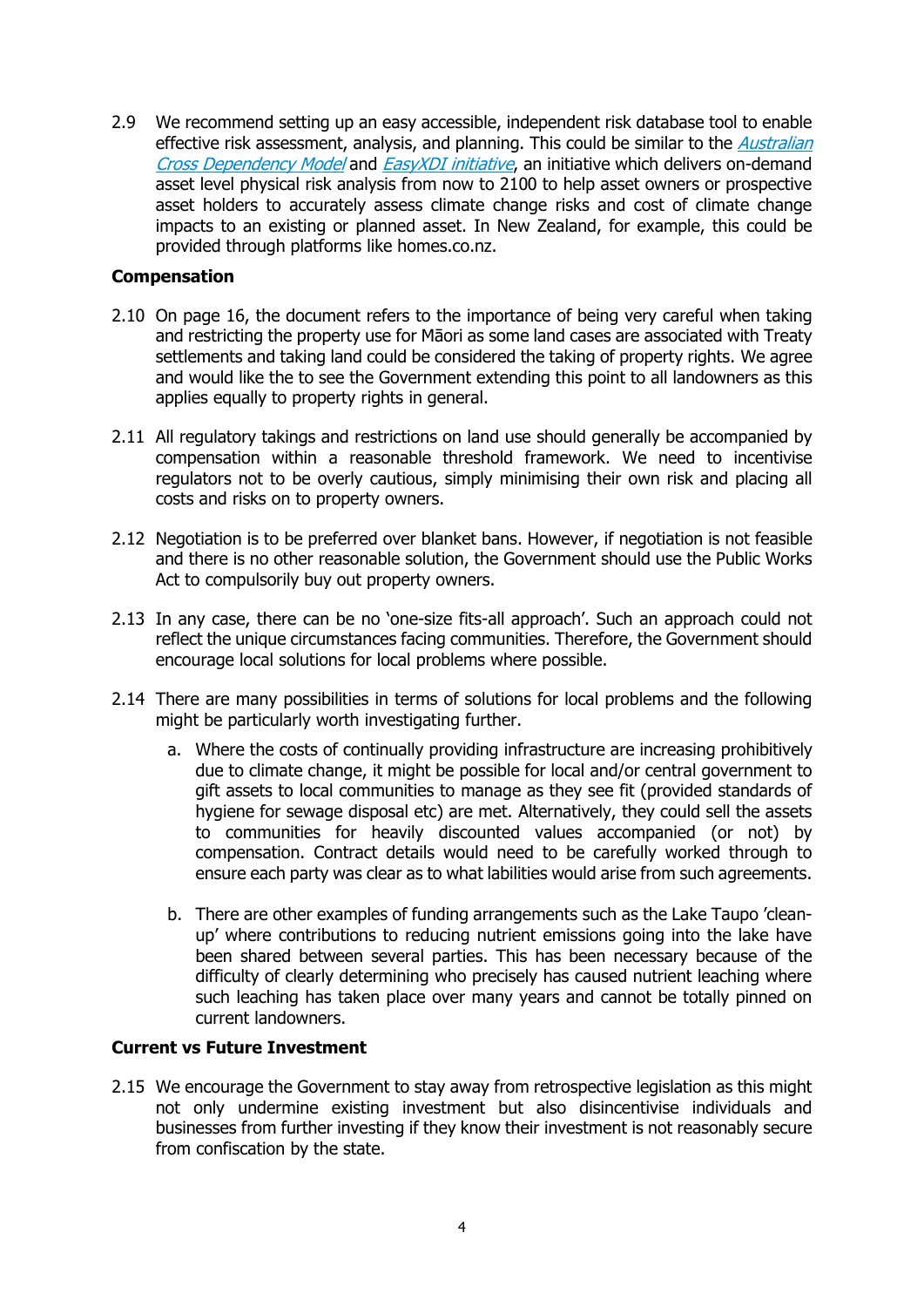2.9 We recommend setting up an easy accessible, independent risk database tool to enable effective risk assessment, analysis, and planning. This could be similar to the *Australian* [Cross Dependency Model](https://xdi.systems/about-us/) and [EasyXDI initiative](https://easyxdi.com/), an initiative which delivers on-demand asset level physical risk analysis from now to 2100 to help asset owners or prospective asset holders to accurately assess climate change risks and cost of climate change impacts to an existing or planned asset. In New Zealand, for example, this could be provided through platforms like homes.co.nz.

#### **Compensation**

- 2.10 On page 16, the document refers to the importance of being very careful when taking and restricting the property use for Māori as some land cases are associated with Treaty settlements and taking land could be considered the taking of property rights. We agree and would like the to see the Government extending this point to all landowners as this applies equally to property rights in general.
- 2.11 All regulatory takings and restrictions on land use should generally be accompanied by compensation within a reasonable threshold framework. We need to incentivise regulators not to be overly cautious, simply minimising their own risk and placing all costs and risks on to property owners.
- 2.12 Negotiation is to be preferred over blanket bans. However, if negotiation is not feasible and there is no other reasonable solution, the Government should use the Public Works Act to compulsorily buy out property owners.
- 2.13 In any case, there can be no 'one-size fits-all approach'. Such an approach could not reflect the unique circumstances facing communities. Therefore, the Government should encourage local solutions for local problems where possible.
- 2.14 There are many possibilities in terms of solutions for local problems and the following might be particularly worth investigating further.
	- a. Where the costs of continually providing infrastructure are increasing prohibitively due to climate change, it might be possible for local and/or central government to gift assets to local communities to manage as they see fit (provided standards of hygiene for sewage disposal etc) are met. Alternatively, they could sell the assets to communities for heavily discounted values accompanied (or not) by compensation. Contract details would need to be carefully worked through to ensure each party was clear as to what labilities would arise from such agreements.
	- b. There are other examples of funding arrangements such as the Lake Taupo 'cleanup' where contributions to reducing nutrient emissions going into the lake have been shared between several parties. This has been necessary because of the difficulty of clearly determining who precisely has caused nutrient leaching where such leaching has taken place over many years and cannot be totally pinned on current landowners.

#### **Current vs Future Investment**

2.15 We encourage the Government to stay away from retrospective legislation as this might not only undermine existing investment but also disincentivise individuals and businesses from further investing if they know their investment is not reasonably secure from confiscation by the state.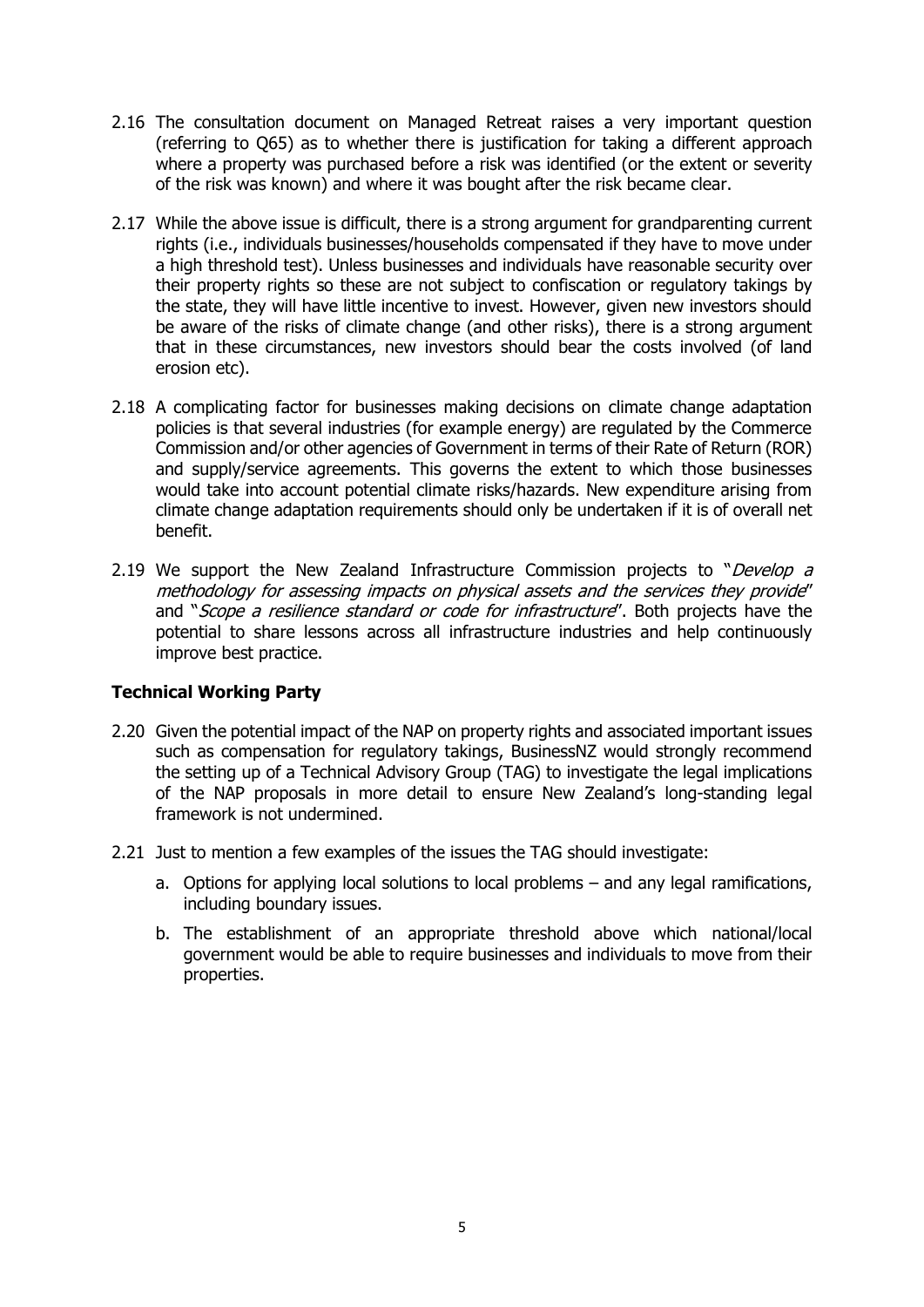- 2.16 The consultation document on Managed Retreat raises a very important question (referring to Q65) as to whether there is justification for taking a different approach where a property was purchased before a risk was identified (or the extent or severity of the risk was known) and where it was bought after the risk became clear.
- 2.17 While the above issue is difficult, there is a strong argument for grandparenting current rights (i.e., individuals businesses/households compensated if they have to move under a high threshold test). Unless businesses and individuals have reasonable security over their property rights so these are not subject to confiscation or regulatory takings by the state, they will have little incentive to invest. However, given new investors should be aware of the risks of climate change (and other risks), there is a strong argument that in these circumstances, new investors should bear the costs involved (of land erosion etc).
- 2.18 A complicating factor for businesses making decisions on climate change adaptation policies is that several industries (for example energy) are regulated by the Commerce Commission and/or other agencies of Government in terms of their Rate of Return (ROR) and supply/service agreements. This governs the extent to which those businesses would take into account potential climate risks/hazards. New expenditure arising from climate change adaptation requirements should only be undertaken if it is of overall net benefit.
- 2.19 We support the New Zealand Infrastructure Commission projects to "*Develop a* methodology for assessing impacts on physical assets and the services they provide" and "Scope a resilience standard or code for infrastructure". Both projects have the potential to share lessons across all infrastructure industries and help continuously improve best practice.

# **Technical Working Party**

- 2.20 Given the potential impact of the NAP on property rights and associated important issues such as compensation for regulatory takings, BusinessNZ would strongly recommend the setting up of a Technical Advisory Group (TAG) to investigate the legal implications of the NAP proposals in more detail to ensure New Zealand's long-standing legal framework is not undermined.
- 2.21 Just to mention a few examples of the issues the TAG should investigate:
	- a. Options for applying local solutions to local problems and any legal ramifications, including boundary issues.
	- b. The establishment of an appropriate threshold above which national/local government would be able to require businesses and individuals to move from their properties.